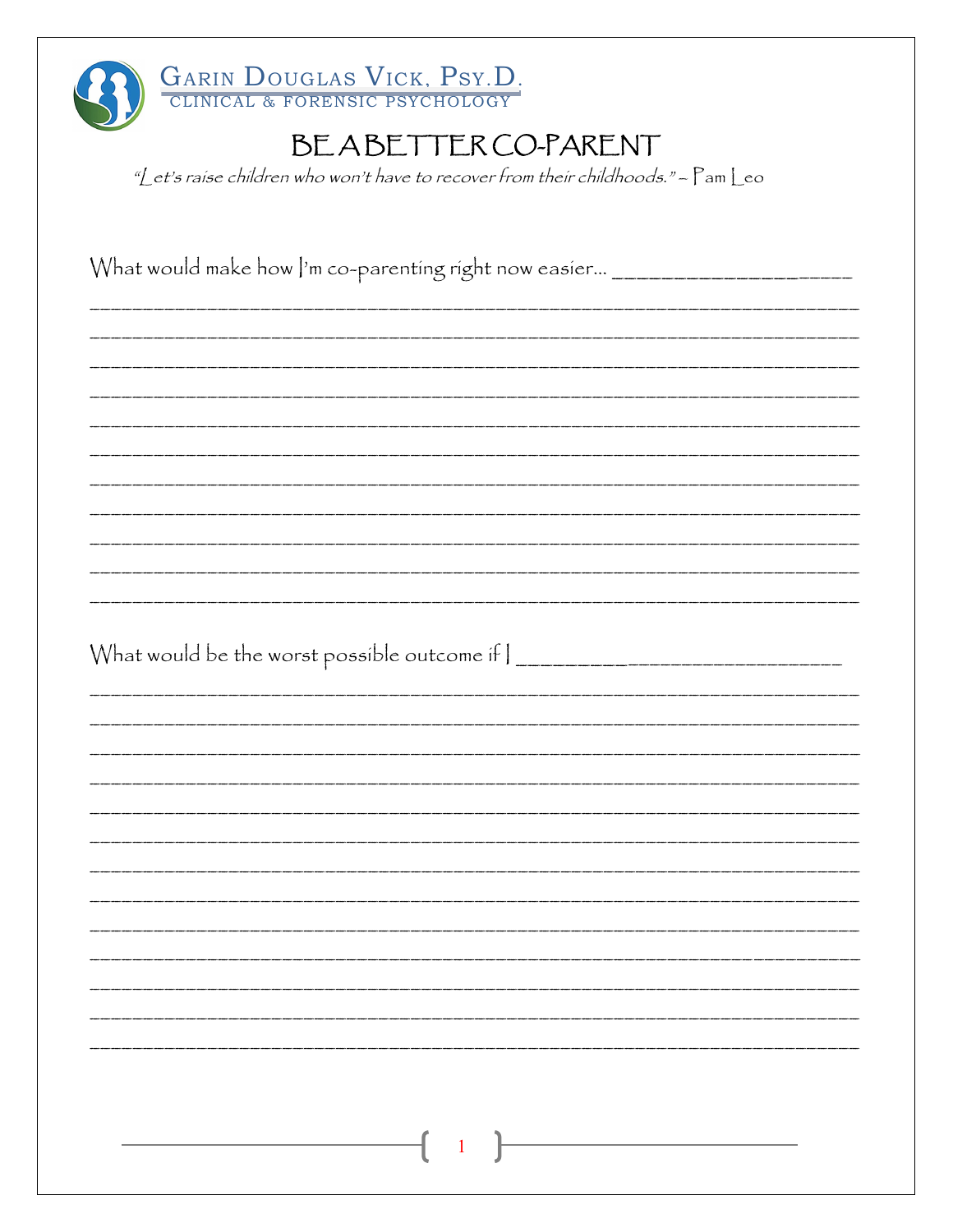| GARIN DOUGLAS VICK, PSY.D.                                                                               |
|----------------------------------------------------------------------------------------------------------|
| BEABETTER CO-PARENT<br>"Let's raise children who won't have to recover from their childhoods." - Pam Leo |
|                                                                                                          |
| What would make how  'm co-parenting right now easier _______________________                            |
|                                                                                                          |
|                                                                                                          |
|                                                                                                          |
|                                                                                                          |
|                                                                                                          |
| What would be the worst possible outcome if $\vert$ _______________________________                      |
|                                                                                                          |
|                                                                                                          |
|                                                                                                          |
|                                                                                                          |
|                                                                                                          |
|                                                                                                          |
|                                                                                                          |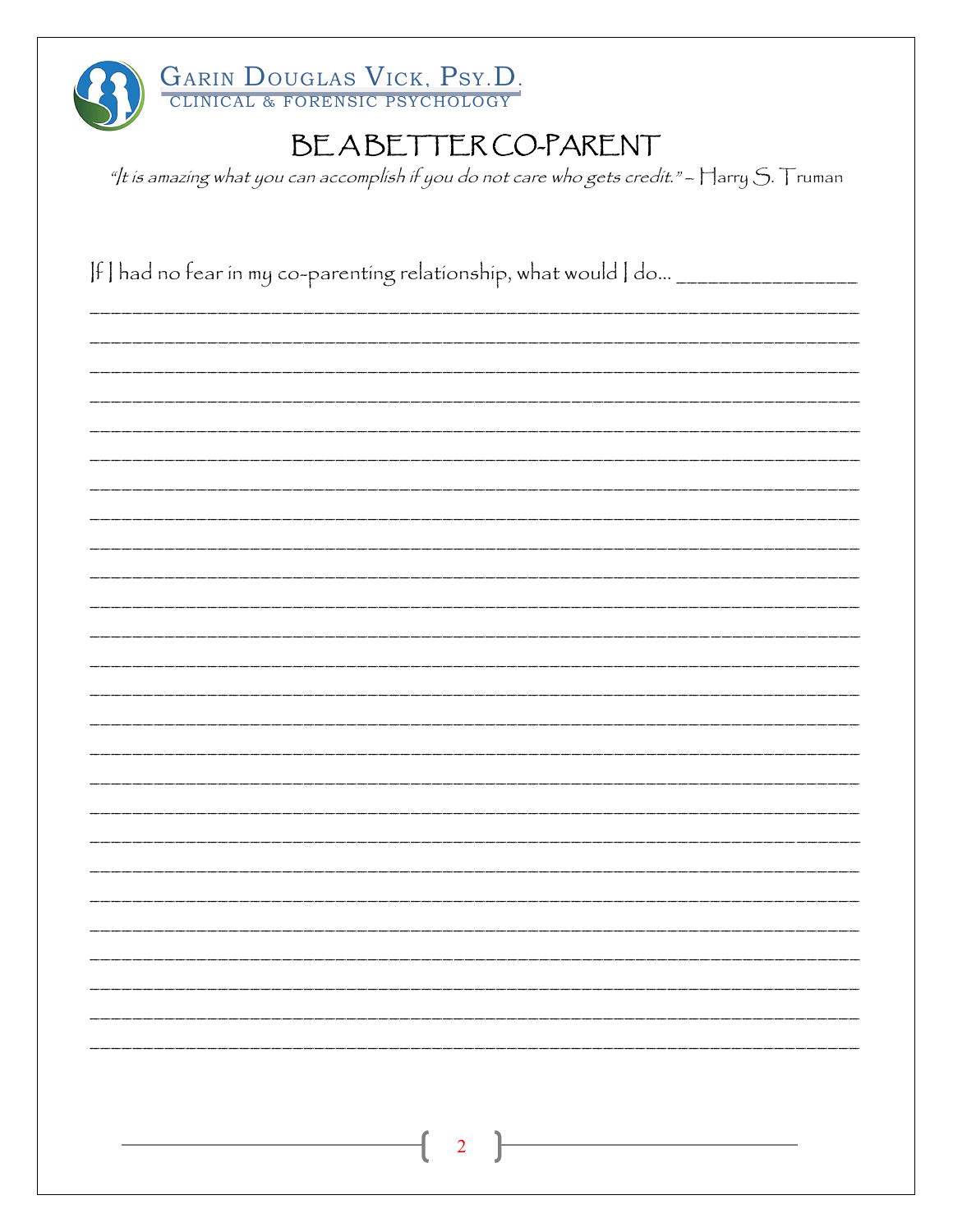

"/t is amazing what you can accomplish if you do not care who gets credit." -  $\mathop\Box$  arry S.  $\mathop\Box$  ruman

If I had no fear in my co-parenting relationship, what would I do... \_\_\_\_\_\_\_\_\_\_\_\_  $\overline{2}$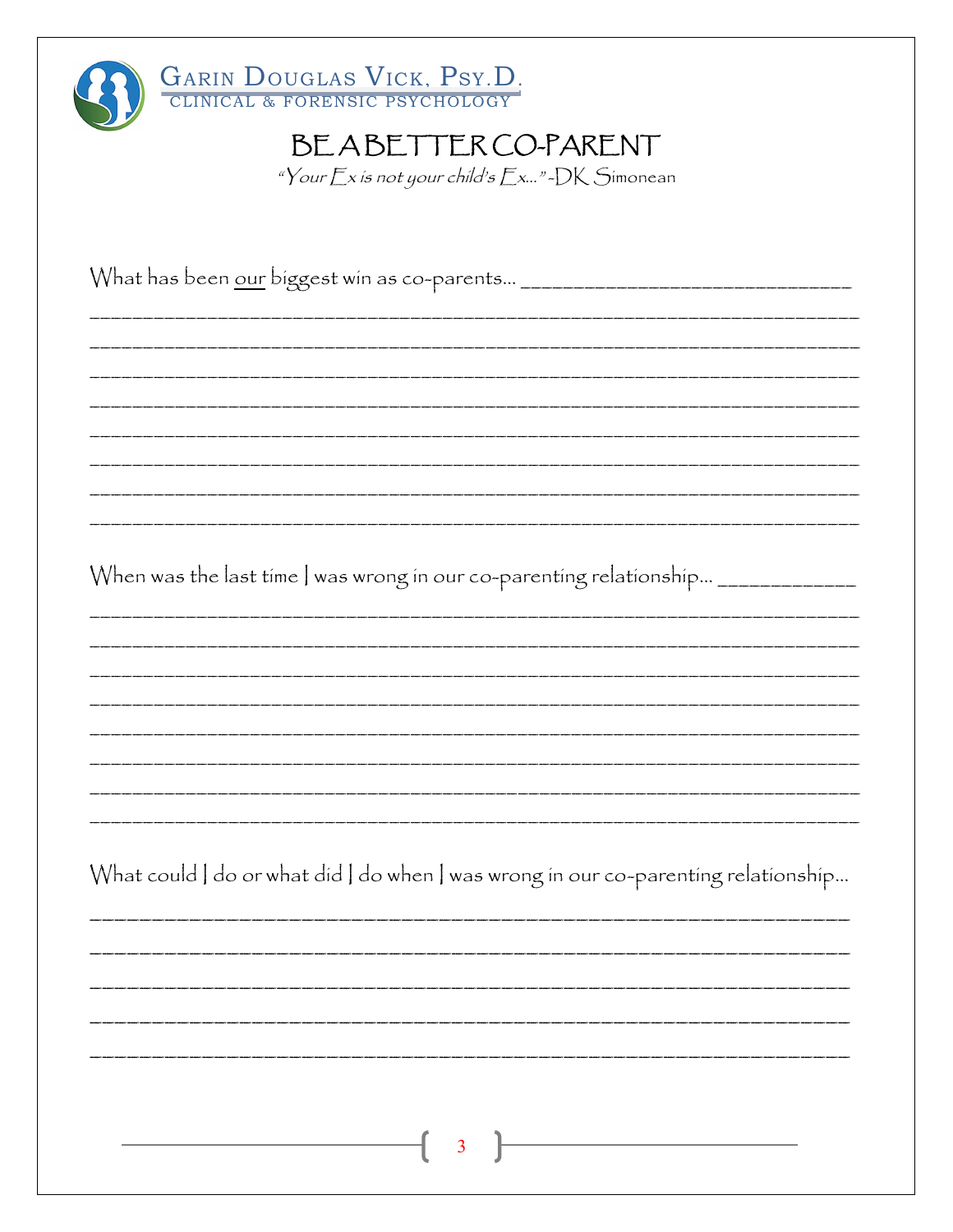| GARIN DOUGLAS VICK, PSY.D.<br>BEABETTER CO-PARENT<br>"Your $Ex$ is not your child's $Ex$ "-DK Simonean |
|--------------------------------------------------------------------------------------------------------|
| What has been <u>our</u> biggest win as co-parents _________________________________                   |
|                                                                                                        |
| When was the last time   was wrong in our co-parenting relationship __________                         |
|                                                                                                        |
| What could   do or what did   do when   was wrong in our co-parenting relationship                     |
|                                                                                                        |
| <u> 1980 - Johann Barbara, martxa</u><br>3                                                             |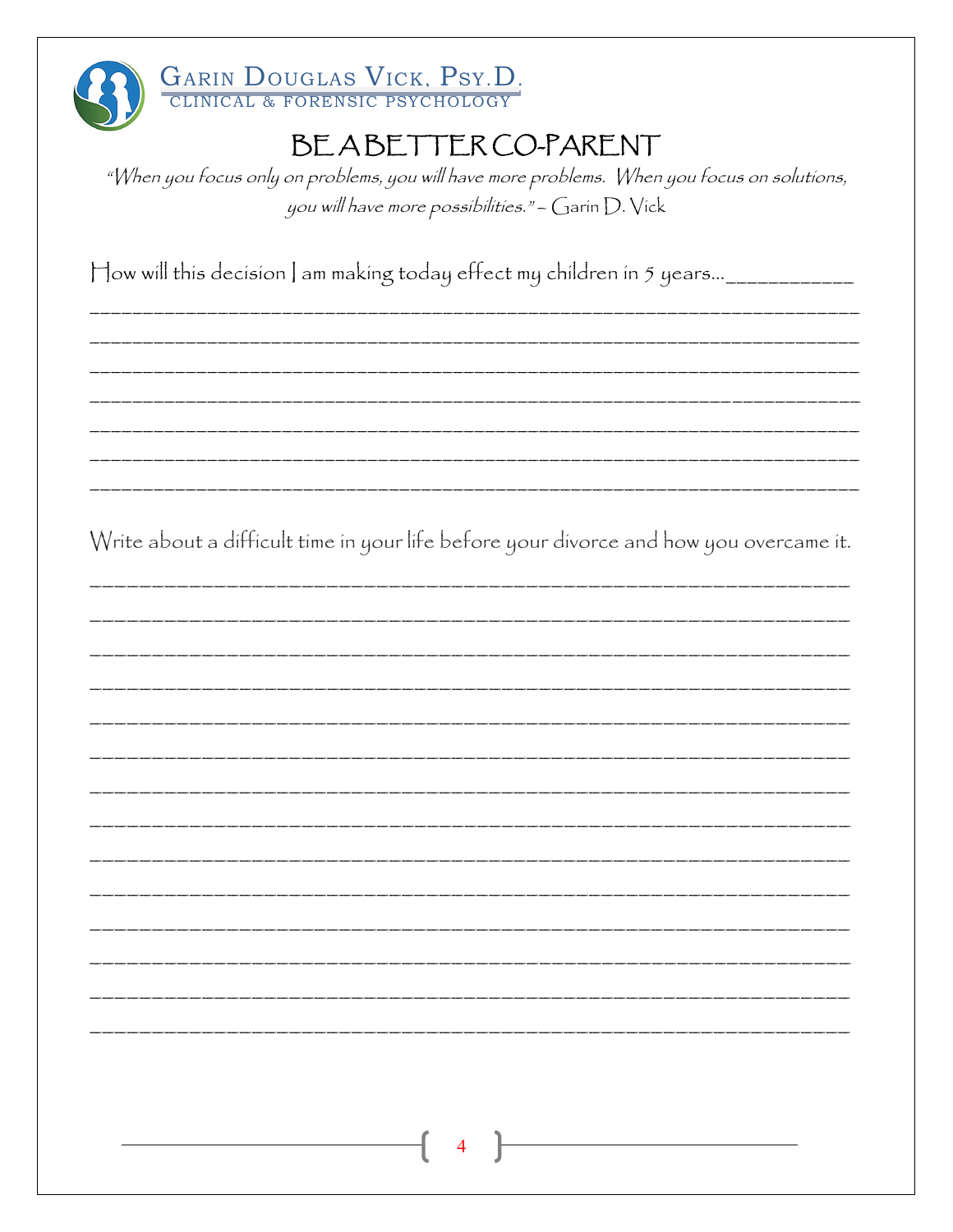

GARIN DOUGLAS VICK, PSY.D.

# BEABETTER CO-PARENT

"When you focus only on problems, you will have more problems. When you focus on solutions, you will have more possibilities." - Garin D. Vick

How will this decision | am making today effect my children in 5 years...\_\_\_\_\_\_\_\_\_\_\_\_\_

Write about a difficult time in your life before your divorce and how you overcame it.

| $\overline{\phantom{a}}$ |
|--------------------------|
|                          |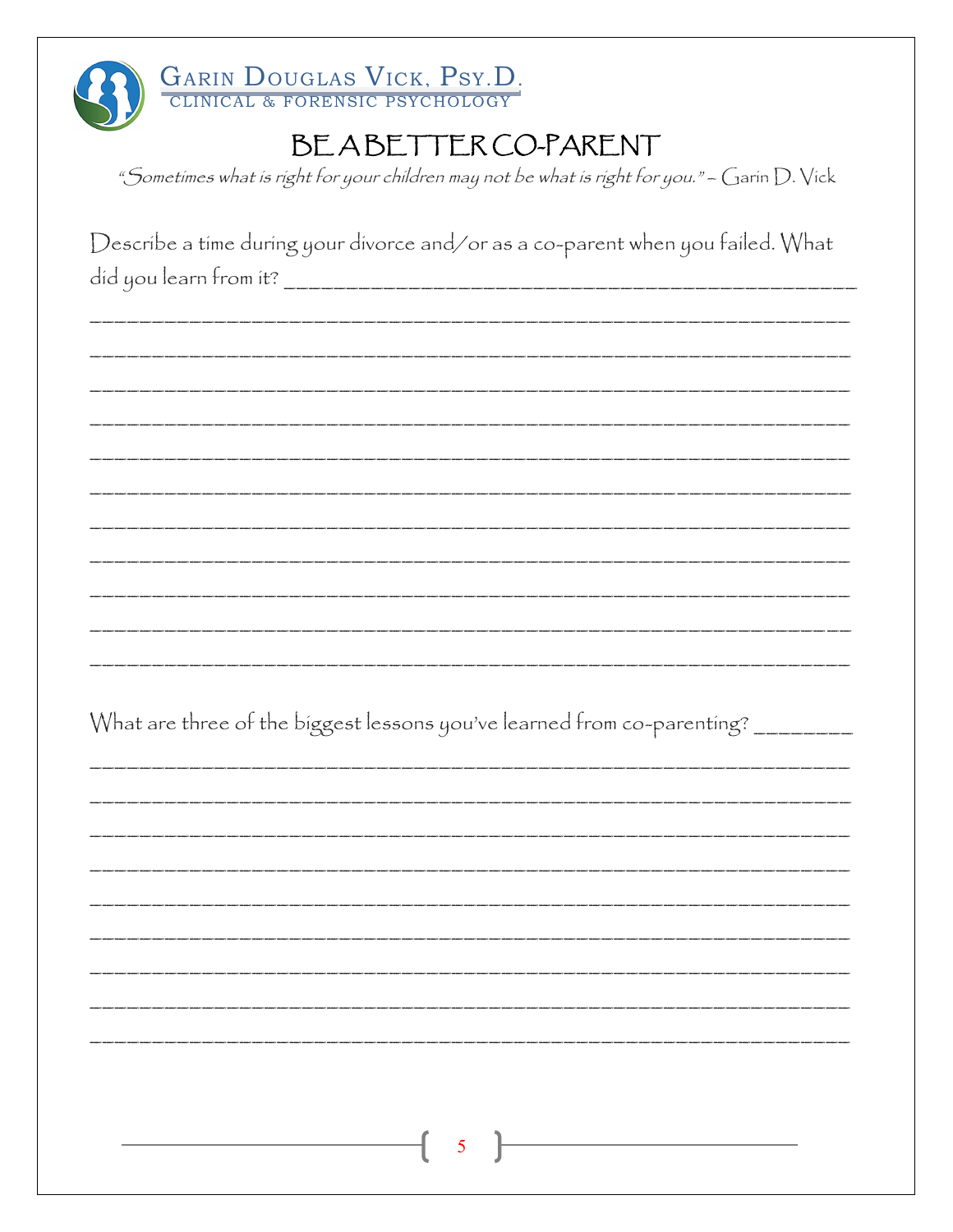| GARIN DOUGLAS VICK, PSY.D.                                                                      |
|-------------------------------------------------------------------------------------------------|
| BEABETTER CO-PARENT                                                                             |
| "Sometimes what is right for your children may not be what is right for you." - Garin $D.$ Vick |
|                                                                                                 |
| Describe a time during your divorce and/or as a co-parent when you failed. What                 |
|                                                                                                 |
|                                                                                                 |
|                                                                                                 |
|                                                                                                 |
|                                                                                                 |
|                                                                                                 |
|                                                                                                 |
|                                                                                                 |
|                                                                                                 |
|                                                                                                 |
|                                                                                                 |
| What are three of the biggest lessons you've learned from co-parenting? ___                     |
|                                                                                                 |
|                                                                                                 |
|                                                                                                 |
|                                                                                                 |
|                                                                                                 |
|                                                                                                 |
|                                                                                                 |
|                                                                                                 |
|                                                                                                 |
|                                                                                                 |
| $\overline{\mathcal{A}}$ 5                                                                      |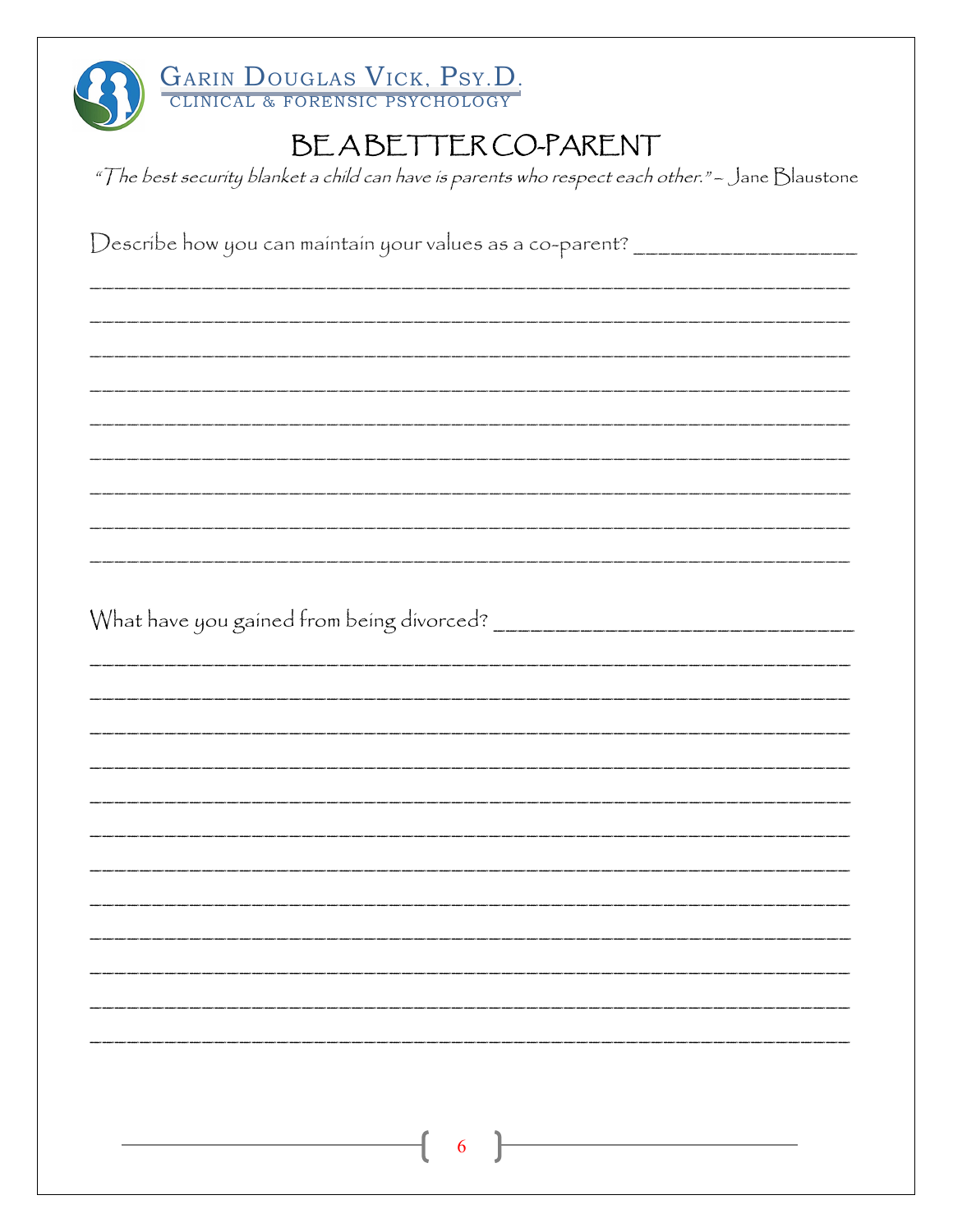| GARIN DOUGLAS VICK, PSY.D.                                                                       |
|--------------------------------------------------------------------------------------------------|
| BEABETTER CO-PARENT                                                                              |
| "The best security blanket a child can have is parents who respect each other." - Jane Blaustone |
|                                                                                                  |
| Describe how you can maintain your values as a co-parent? ______________________                 |
|                                                                                                  |
|                                                                                                  |
|                                                                                                  |
|                                                                                                  |
|                                                                                                  |
|                                                                                                  |
|                                                                                                  |
|                                                                                                  |
|                                                                                                  |
|                                                                                                  |
|                                                                                                  |
|                                                                                                  |
|                                                                                                  |
|                                                                                                  |
|                                                                                                  |
|                                                                                                  |
|                                                                                                  |
|                                                                                                  |
|                                                                                                  |
|                                                                                                  |
|                                                                                                  |
|                                                                                                  |
| 6                                                                                                |
|                                                                                                  |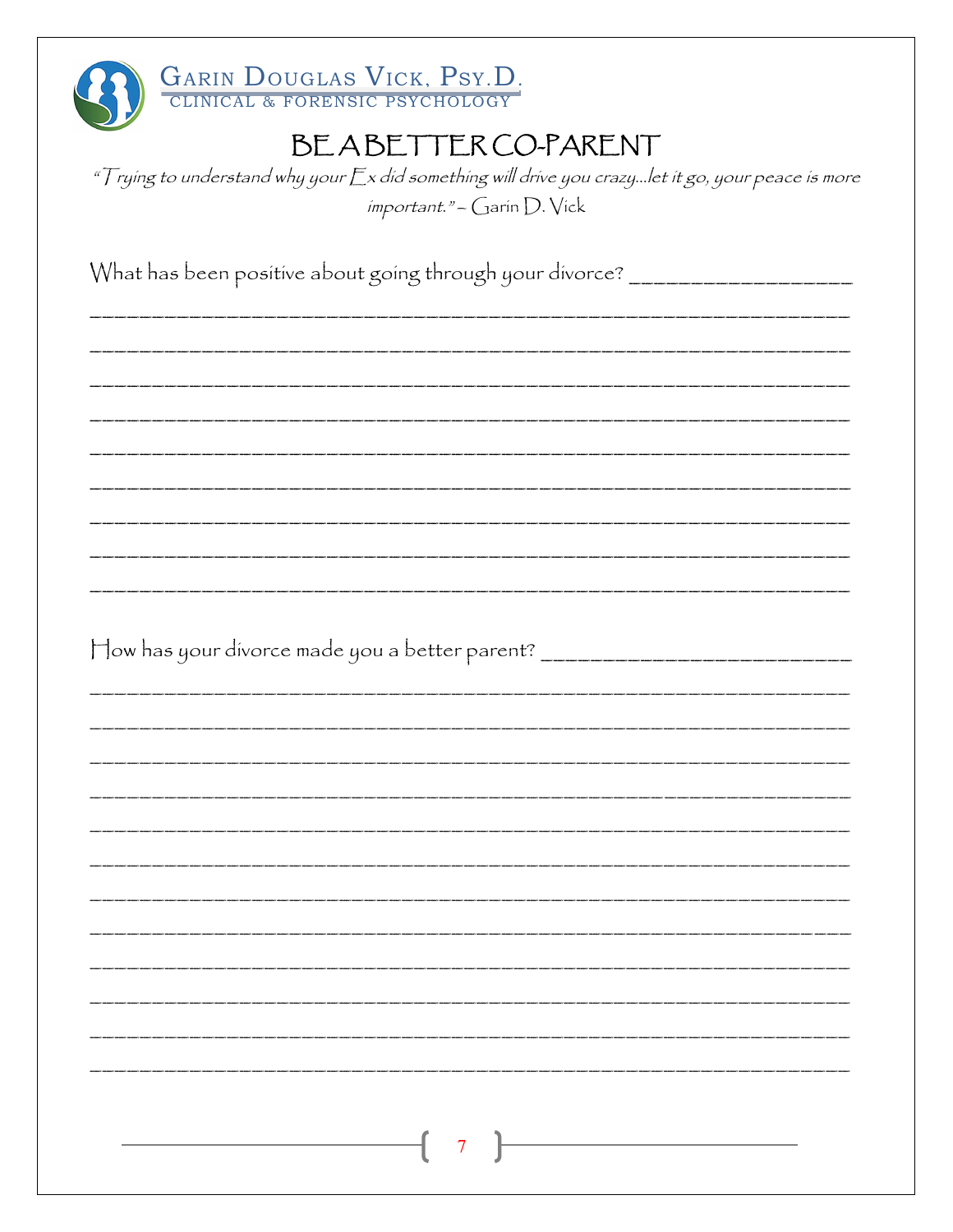

" $\top$ rying to understand why your  $\mathop{\mathbb{E}} x$  did something will drive you crazy...let it go, your peace is more important." - Garin D. Vick

What has been positive about going through your divorce? \_\_\_\_\_\_\_\_\_\_\_\_\_\_\_\_\_\_\_\_\_\_\_

How has your divorce made you a better parent? \_\_\_\_\_\_\_\_\_\_\_\_\_\_\_\_\_\_\_\_\_\_\_\_\_\_\_\_\_\_\_\_\_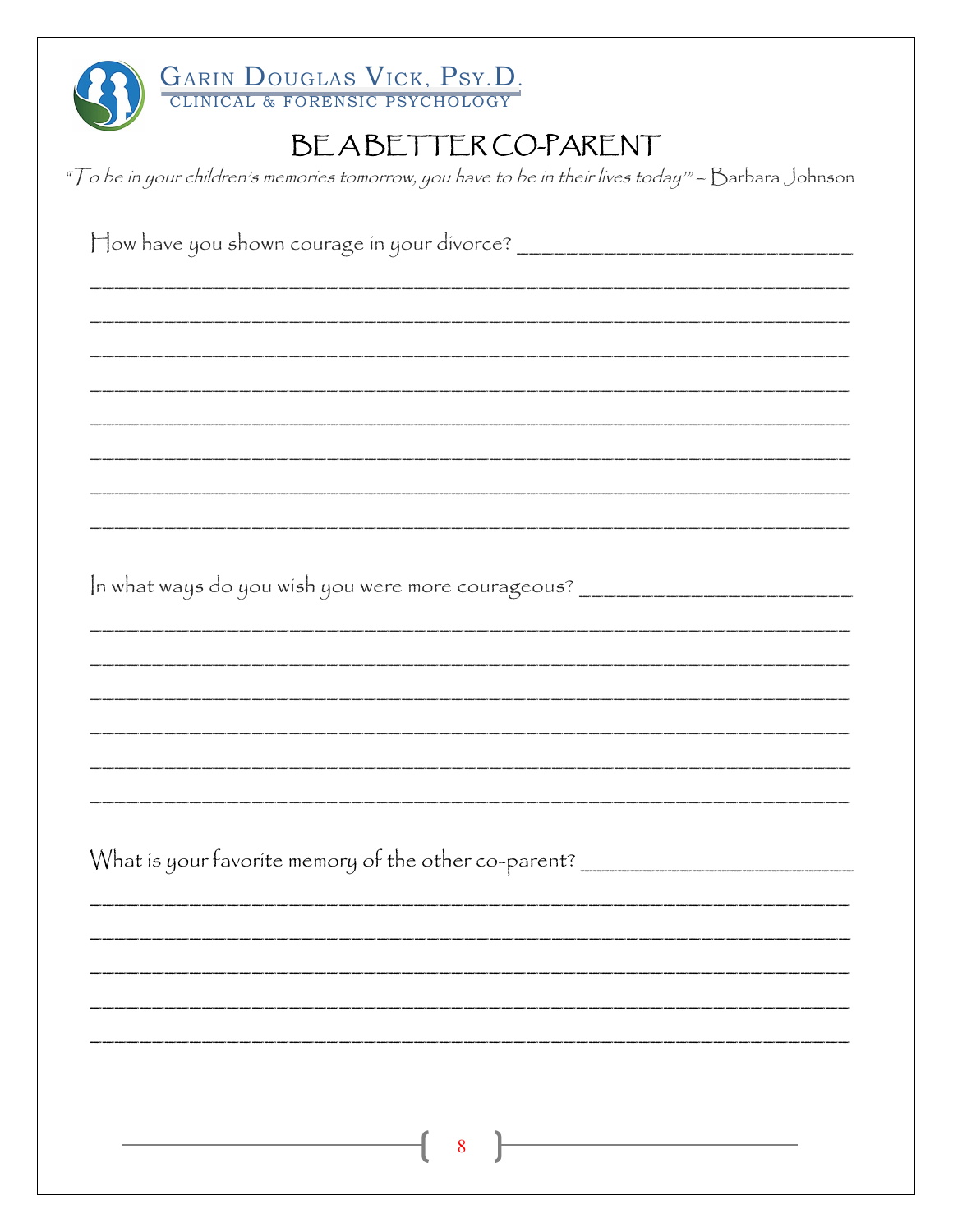| GARIN DOUGLAS VICK, PSY.D.                                                                          |
|-----------------------------------------------------------------------------------------------------|
| BEABETTERCO-PARENT                                                                                  |
| "To be in your children's memories tomorrow, you have to be in their lives today" - Barbara Johnson |
|                                                                                                     |
|                                                                                                     |
|                                                                                                     |
|                                                                                                     |
|                                                                                                     |
|                                                                                                     |
|                                                                                                     |
| In what ways do you wish you were more courageous? _____________________________                    |
|                                                                                                     |
|                                                                                                     |
|                                                                                                     |
|                                                                                                     |
|                                                                                                     |
| What is your favorite memory of the other co-parent? ___________________________                    |
|                                                                                                     |
|                                                                                                     |
|                                                                                                     |
|                                                                                                     |
|                                                                                                     |
| 8                                                                                                   |
|                                                                                                     |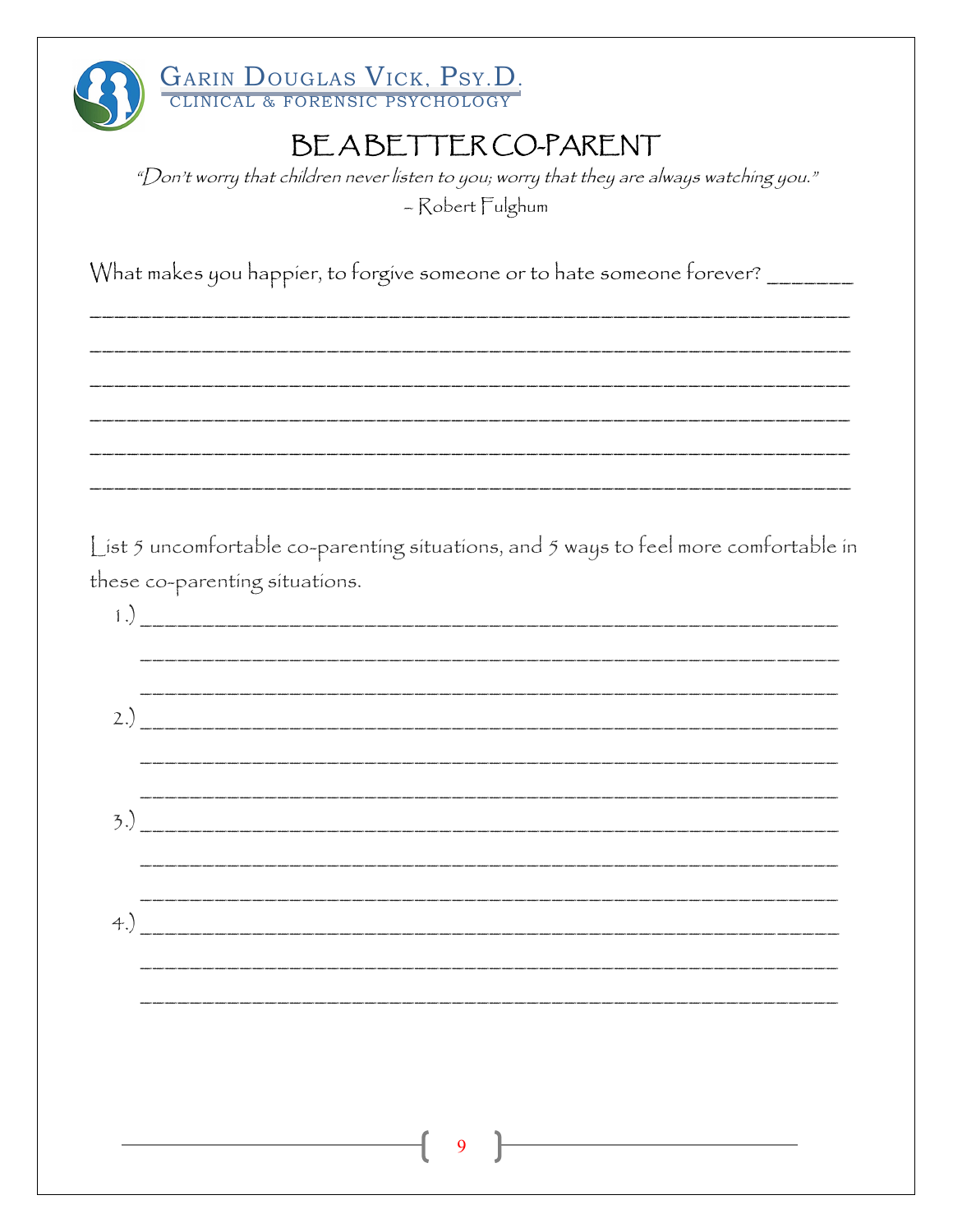

"Don't worry that children never listen to you; worry that they are always watching you." - Robert Fulghum

What makes you happier, to forgive someone or to hate someone forever? \_\_\_\_\_\_\_\_

List 5 uncomfortable co-parenting situations, and 5 ways to feel more comfortable in these co-parenting situations.

| $\left( \begin{array}{c} 1 \end{array} \right)$ |                                                                                                                                                                                                                                                                                                                       |  |  |  |
|-------------------------------------------------|-----------------------------------------------------------------------------------------------------------------------------------------------------------------------------------------------------------------------------------------------------------------------------------------------------------------------|--|--|--|
|                                                 |                                                                                                                                                                                                                                                                                                                       |  |  |  |
|                                                 | 2.) $\frac{1}{2}$                                                                                                                                                                                                                                                                                                     |  |  |  |
|                                                 |                                                                                                                                                                                                                                                                                                                       |  |  |  |
|                                                 | $(3.5)$ $\frac{1}{2}$ $\frac{1}{2}$ $\frac{1}{2}$ $\frac{1}{2}$ $\frac{1}{2}$ $\frac{1}{2}$ $\frac{1}{2}$ $\frac{1}{2}$ $\frac{1}{2}$ $\frac{1}{2}$ $\frac{1}{2}$ $\frac{1}{2}$ $\frac{1}{2}$ $\frac{1}{2}$ $\frac{1}{2}$ $\frac{1}{2}$ $\frac{1}{2}$ $\frac{1}{2}$ $\frac{1}{2}$ $\frac{1}{2}$ $\frac{1}{2}$ $\frac$ |  |  |  |
|                                                 |                                                                                                                                                                                                                                                                                                                       |  |  |  |
| $+$ .                                           |                                                                                                                                                                                                                                                                                                                       |  |  |  |
|                                                 |                                                                                                                                                                                                                                                                                                                       |  |  |  |
|                                                 |                                                                                                                                                                                                                                                                                                                       |  |  |  |
|                                                 |                                                                                                                                                                                                                                                                                                                       |  |  |  |
|                                                 |                                                                                                                                                                                                                                                                                                                       |  |  |  |
|                                                 |                                                                                                                                                                                                                                                                                                                       |  |  |  |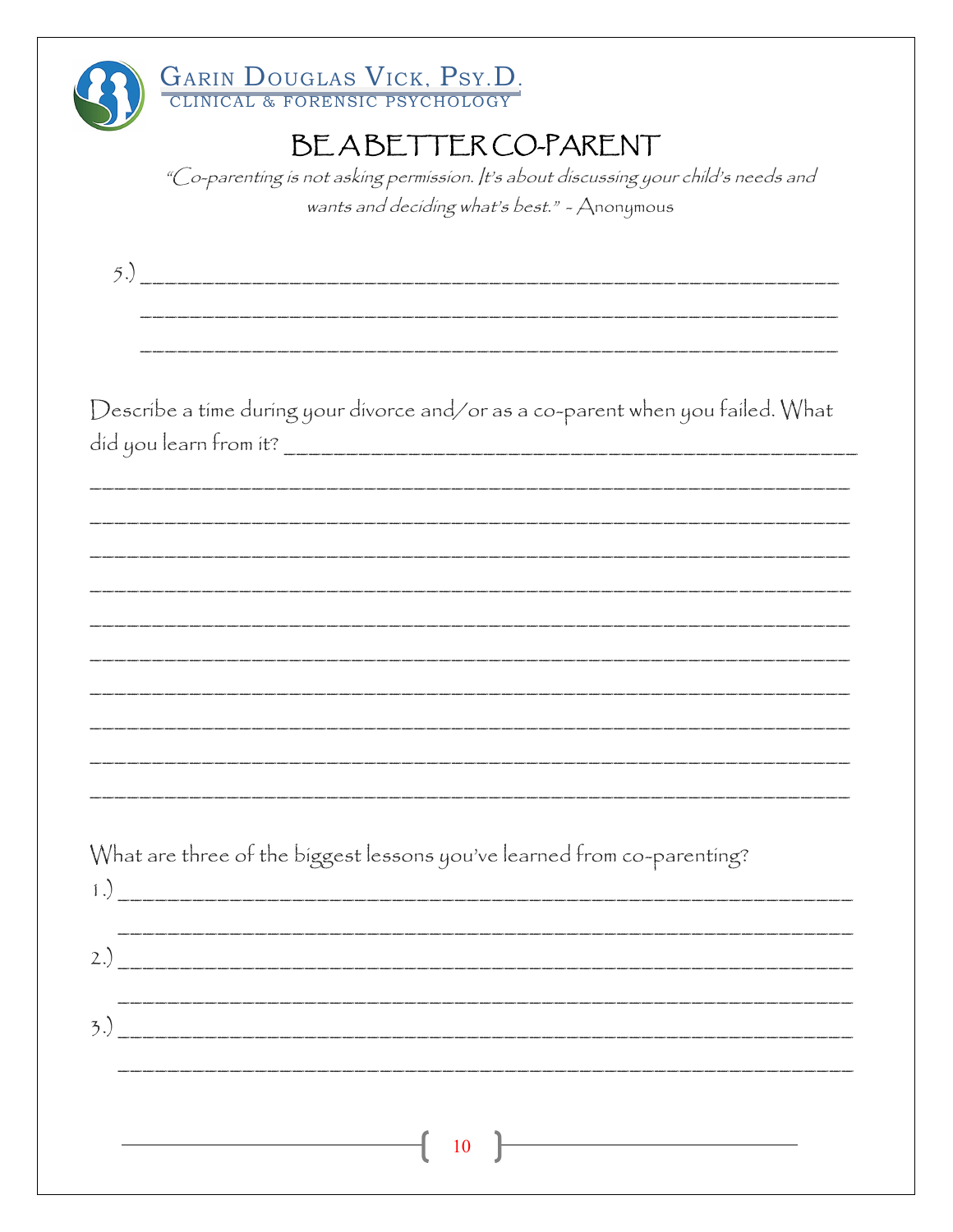| GARIN DOUGLAS VICK, PSY.D.<br>BEABETTER CO-PARENT<br>"Co-parenting is not asking permission. It's about discussing your child's needs and<br>wants and deciding what's best." - Anonymous |
|-------------------------------------------------------------------------------------------------------------------------------------------------------------------------------------------|
|                                                                                                                                                                                           |
|                                                                                                                                                                                           |
| Describe a time during your divorce and/or as a co-parent when you failed. What                                                                                                           |
|                                                                                                                                                                                           |
|                                                                                                                                                                                           |
|                                                                                                                                                                                           |
|                                                                                                                                                                                           |
|                                                                                                                                                                                           |
| What are three of the biggest lessons you've learned from co-parenting?                                                                                                                   |
|                                                                                                                                                                                           |
|                                                                                                                                                                                           |
| <b>10</b>                                                                                                                                                                                 |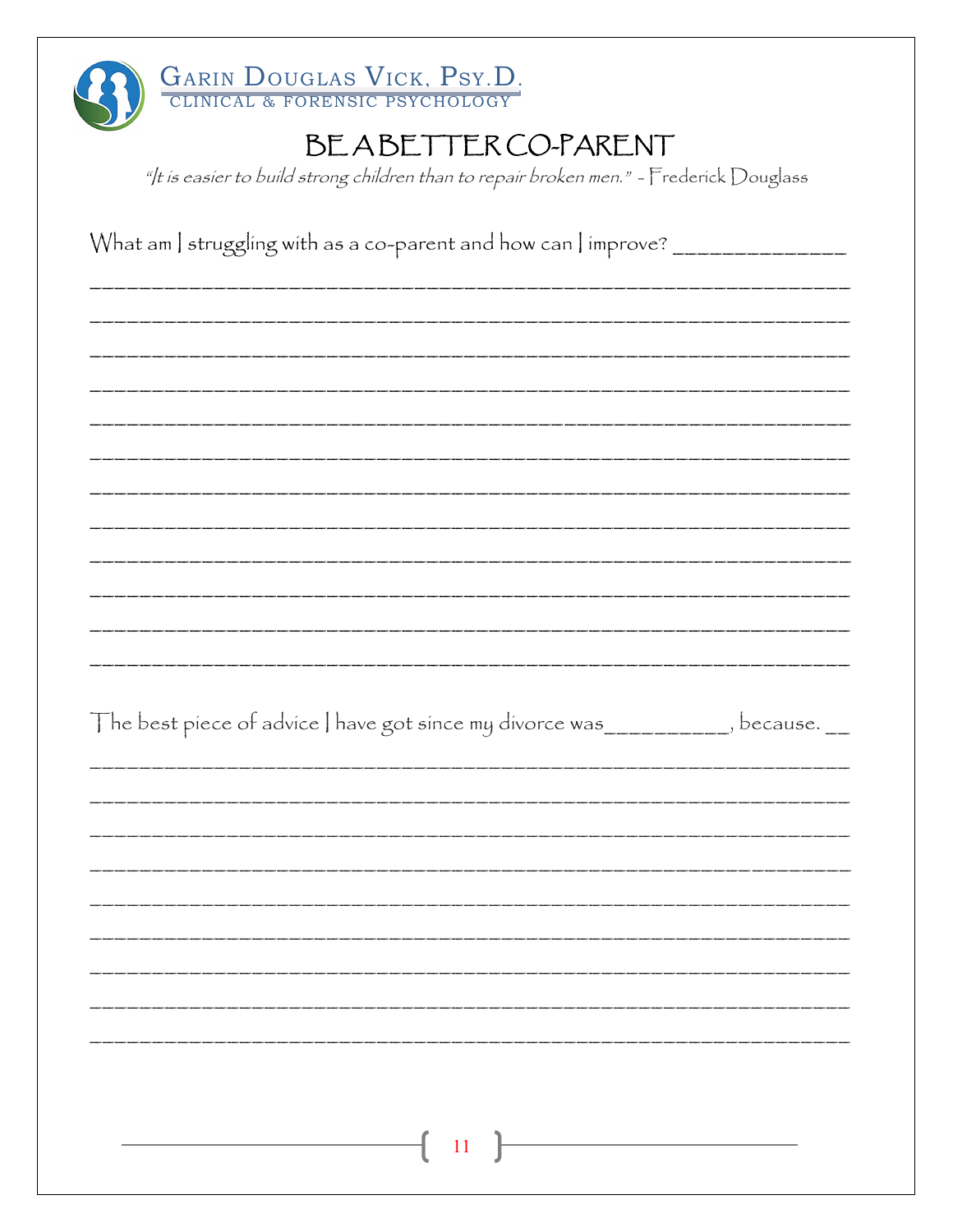| GARIN DOUGLAS VICK, PSY.D.                                                              |
|-----------------------------------------------------------------------------------------|
| BEABETTER CO-PARENT                                                                     |
| "It is easier to build strong children than to repair broken men." - Frederick Douglass |
|                                                                                         |
| What am   struggling with as a co-parent and how can   improve? ________________        |
|                                                                                         |
|                                                                                         |
|                                                                                         |
|                                                                                         |
|                                                                                         |
|                                                                                         |
|                                                                                         |
|                                                                                         |
|                                                                                         |
|                                                                                         |
|                                                                                         |
|                                                                                         |
| The best piece of advice   have got since my divorce was ___________, because. __       |
|                                                                                         |
|                                                                                         |
|                                                                                         |
|                                                                                         |
|                                                                                         |
|                                                                                         |
|                                                                                         |
|                                                                                         |
|                                                                                         |
|                                                                                         |
|                                                                                         |
| 11                                                                                      |
|                                                                                         |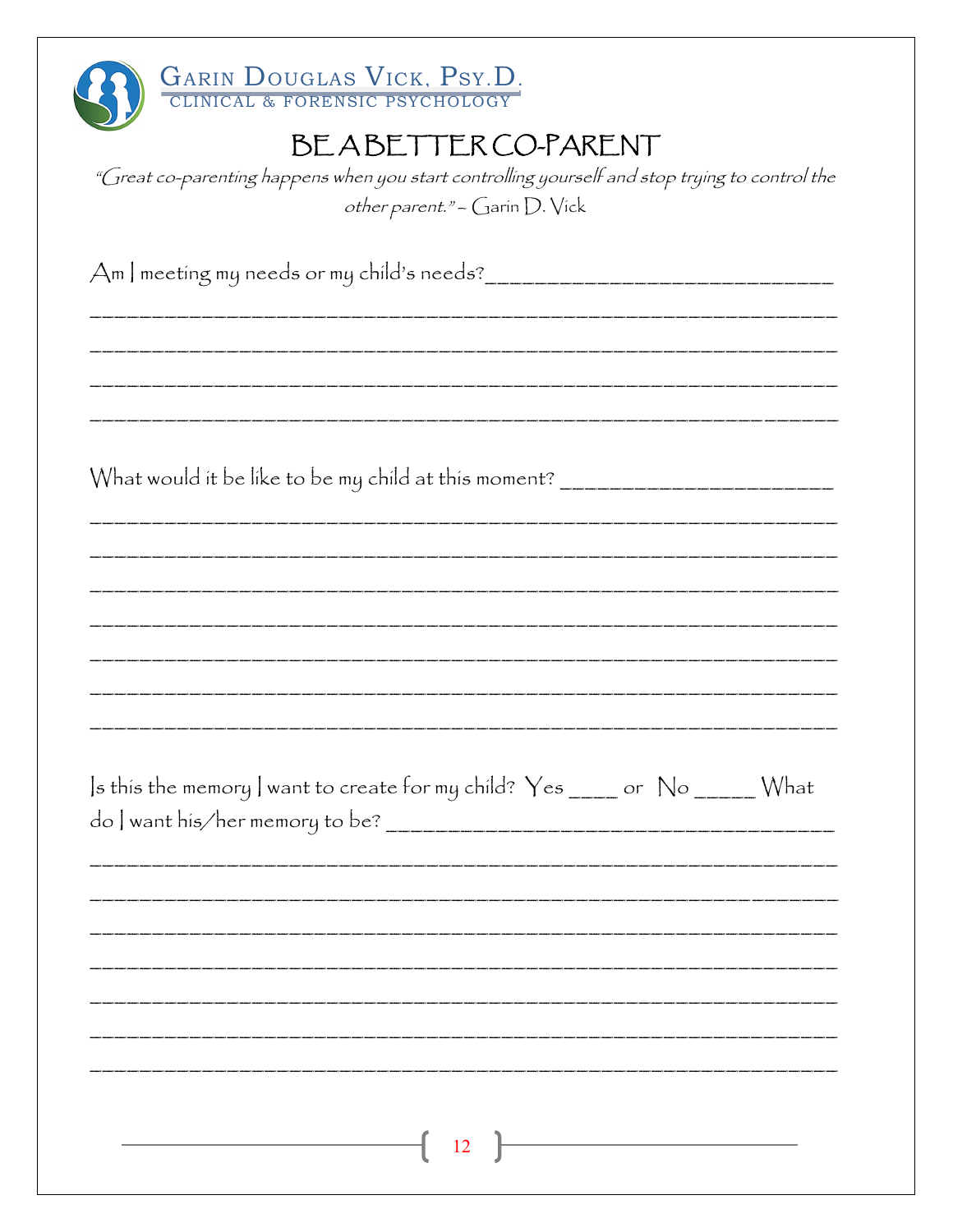| GARIN DOUGLAS VICK, PSY.D.                                                                     |
|------------------------------------------------------------------------------------------------|
| BEABETTER CO-PARENT                                                                            |
| "Great co-parenting happens when you start controlling yourself and stop trying to control the |
| other parent." - Garin D. Vick                                                                 |
|                                                                                                |
|                                                                                                |
|                                                                                                |
|                                                                                                |
|                                                                                                |
|                                                                                                |
|                                                                                                |
| What would it be like to be my child at this moment? ___________________________               |
|                                                                                                |
|                                                                                                |
|                                                                                                |
|                                                                                                |
|                                                                                                |
|                                                                                                |
|                                                                                                |
| Is this the memory I want to create for my child? Yes _____ or No ______ What                  |
|                                                                                                |
|                                                                                                |
|                                                                                                |
|                                                                                                |
|                                                                                                |
|                                                                                                |
|                                                                                                |
|                                                                                                |
|                                                                                                |
| $\overline{12}$ $\overline{)}$                                                                 |
|                                                                                                |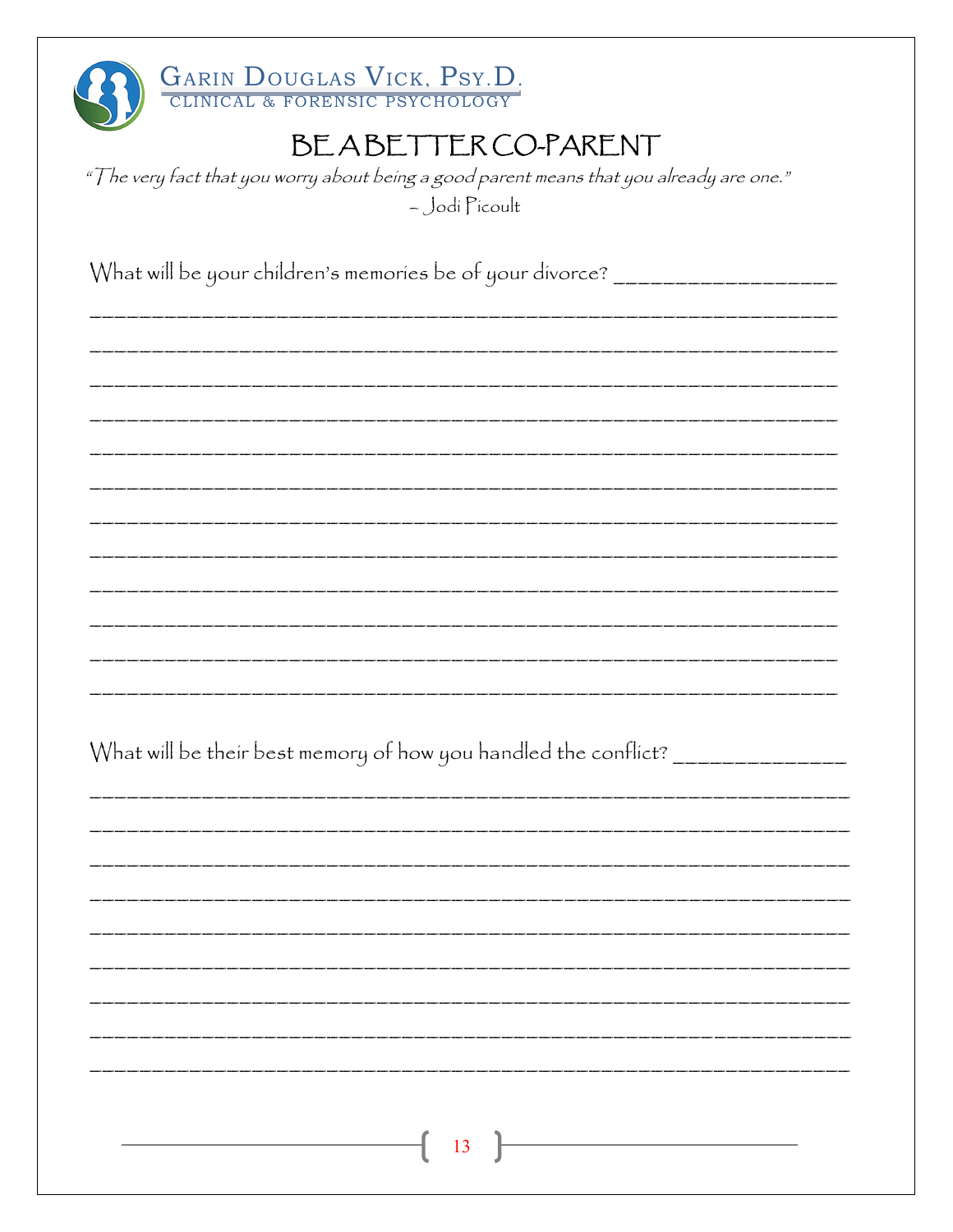| GARIN DOUGLAS VICK, PSY.D.                                                               |
|------------------------------------------------------------------------------------------|
| BEABETTERCO-PARENT                                                                       |
| "The very fact that you worry about being a good parent means that you already are one." |
| - Jodi Picoult                                                                           |
| What will be your children's memories be of your divorce? ______________________         |
|                                                                                          |
|                                                                                          |
|                                                                                          |
|                                                                                          |
|                                                                                          |
|                                                                                          |
|                                                                                          |
|                                                                                          |
|                                                                                          |
|                                                                                          |
|                                                                                          |
| What will be their best memory of how you handled the conflict? ________________         |
|                                                                                          |
|                                                                                          |
|                                                                                          |
|                                                                                          |
|                                                                                          |
|                                                                                          |
|                                                                                          |
|                                                                                          |
|                                                                                          |
| $\overline{13}$                                                                          |
|                                                                                          |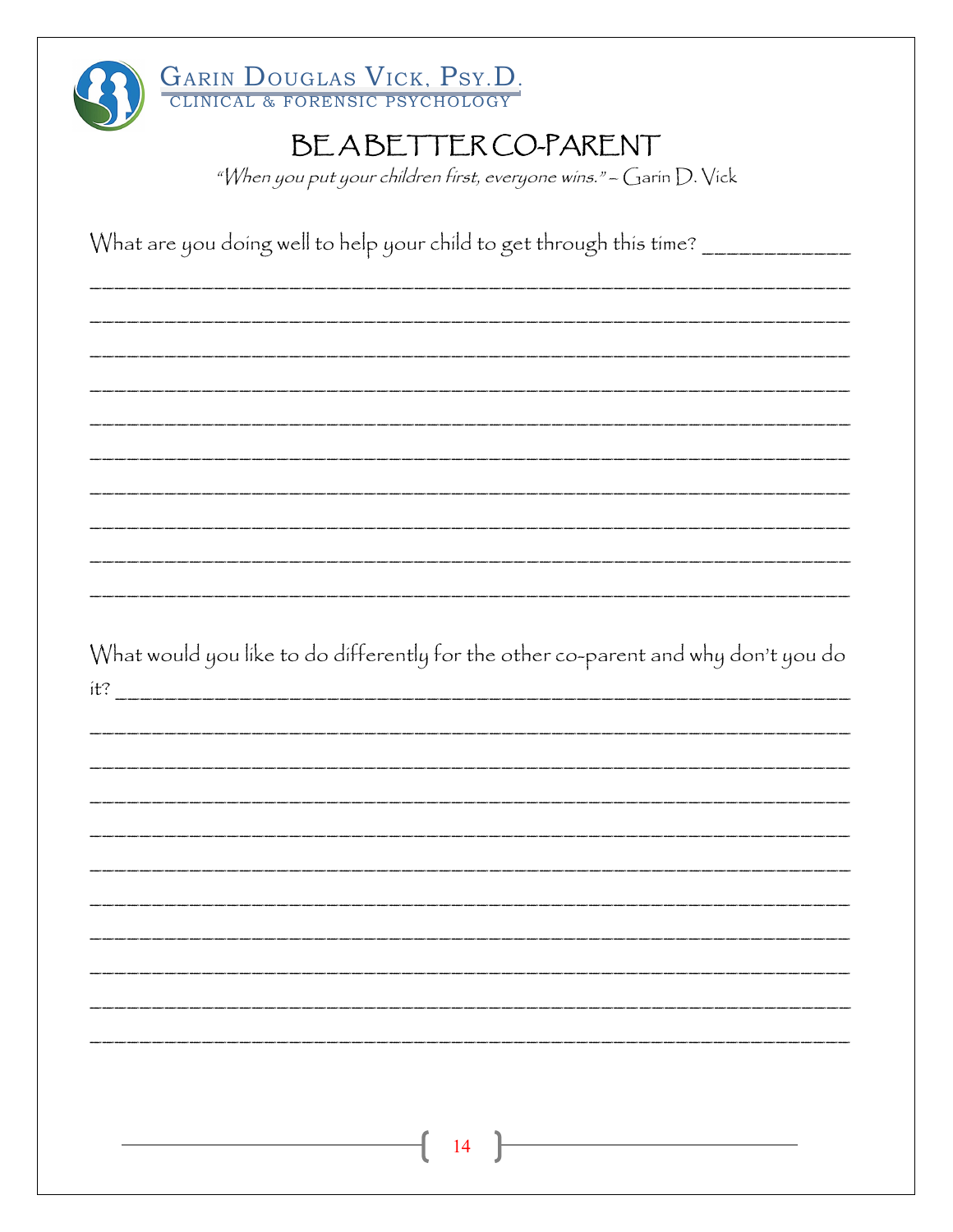|     | BEABETTER CO-PARENT                                                                                                                                                                                                               |
|-----|-----------------------------------------------------------------------------------------------------------------------------------------------------------------------------------------------------------------------------------|
|     | "When you put your children first, everyone wins." - Garin D. Vick                                                                                                                                                                |
|     |                                                                                                                                                                                                                                   |
|     | What are you doing well to help your child to get through this time? ___________                                                                                                                                                  |
|     |                                                                                                                                                                                                                                   |
|     |                                                                                                                                                                                                                                   |
|     |                                                                                                                                                                                                                                   |
|     | .<br>In their their their their their their their their their their their their their their their their their their their their their their their their their their their their their their their their their their their their t |
|     |                                                                                                                                                                                                                                   |
|     |                                                                                                                                                                                                                                   |
|     |                                                                                                                                                                                                                                   |
|     |                                                                                                                                                                                                                                   |
|     |                                                                                                                                                                                                                                   |
|     |                                                                                                                                                                                                                                   |
|     |                                                                                                                                                                                                                                   |
|     |                                                                                                                                                                                                                                   |
|     | What would you like to do differently for the other co-parent and why don't you do                                                                                                                                                |
| it? |                                                                                                                                                                                                                                   |
|     |                                                                                                                                                                                                                                   |
|     |                                                                                                                                                                                                                                   |
|     |                                                                                                                                                                                                                                   |
|     |                                                                                                                                                                                                                                   |
|     |                                                                                                                                                                                                                                   |
|     |                                                                                                                                                                                                                                   |
|     |                                                                                                                                                                                                                                   |
|     |                                                                                                                                                                                                                                   |
|     |                                                                                                                                                                                                                                   |
|     |                                                                                                                                                                                                                                   |
|     |                                                                                                                                                                                                                                   |
|     | 14                                                                                                                                                                                                                                |
|     |                                                                                                                                                                                                                                   |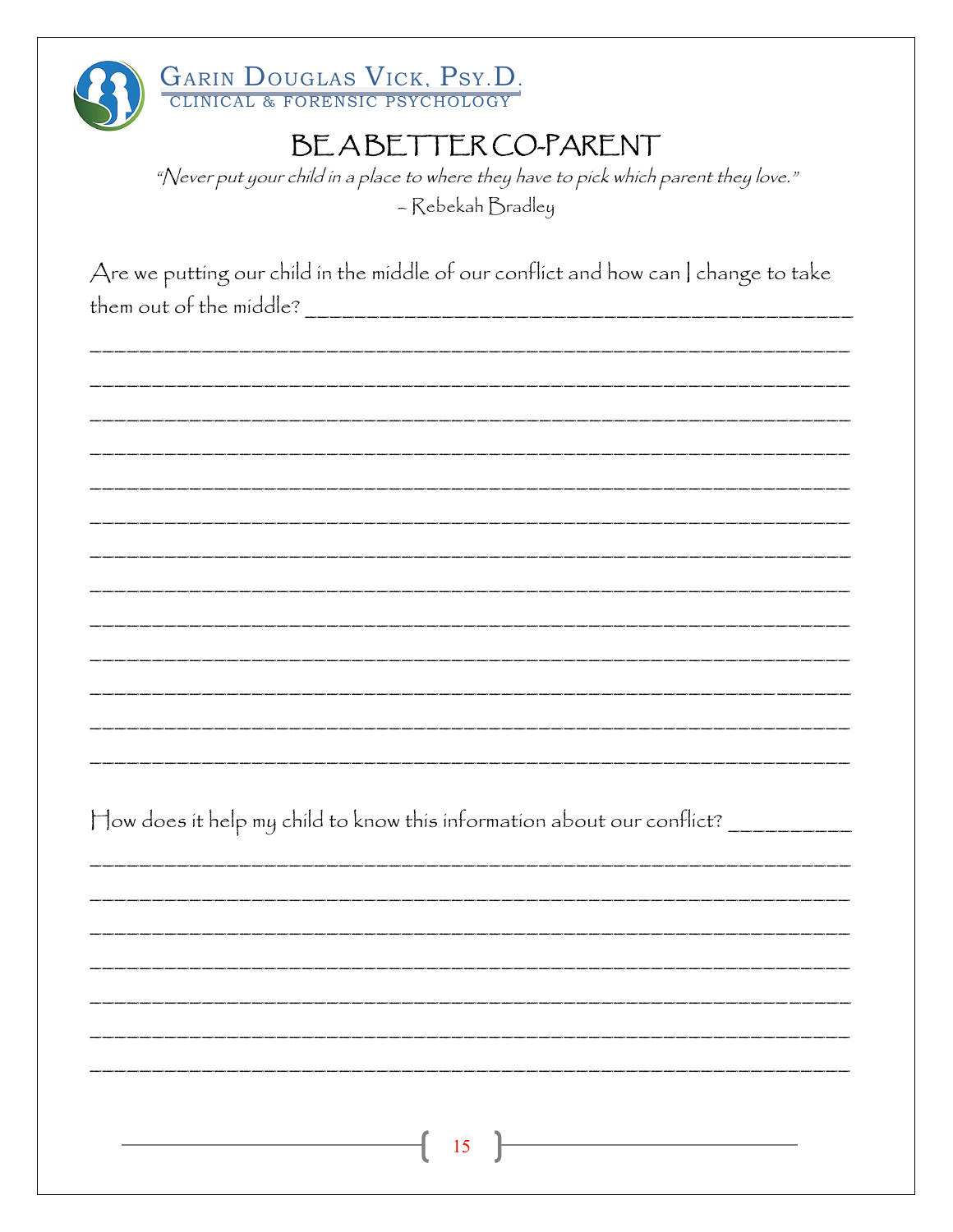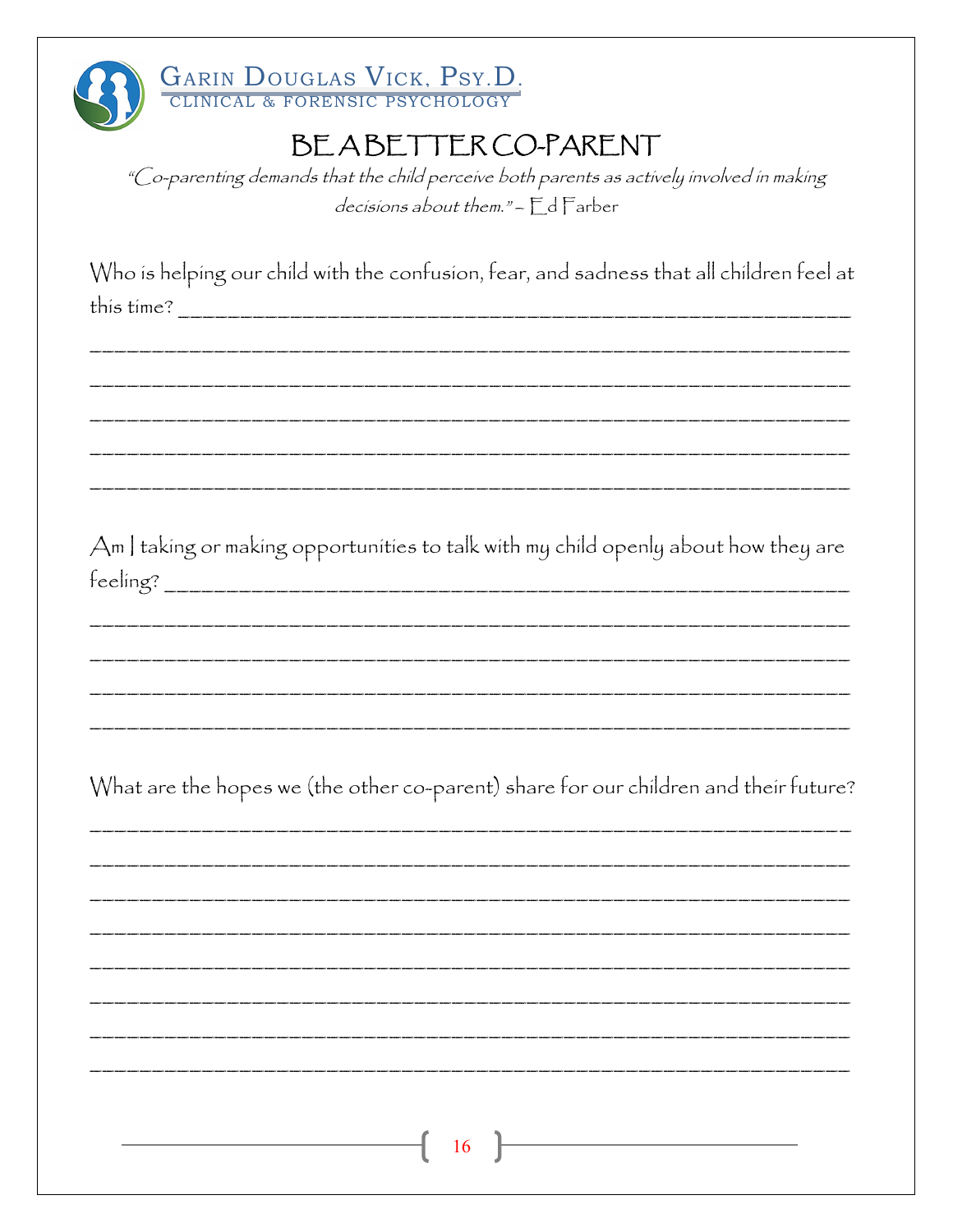

"Co-parenting demands that the child perceive both parents as actively involved in making decisions about them." - F d Farber

Who is helping our child with the confusion, fear, and sadness that all children feel at this time?

Am I taking or making opportunities to talk with my child openly about how they are  $feding?$ 

What are the hopes we (the other co-parent) share for our children and their future?

16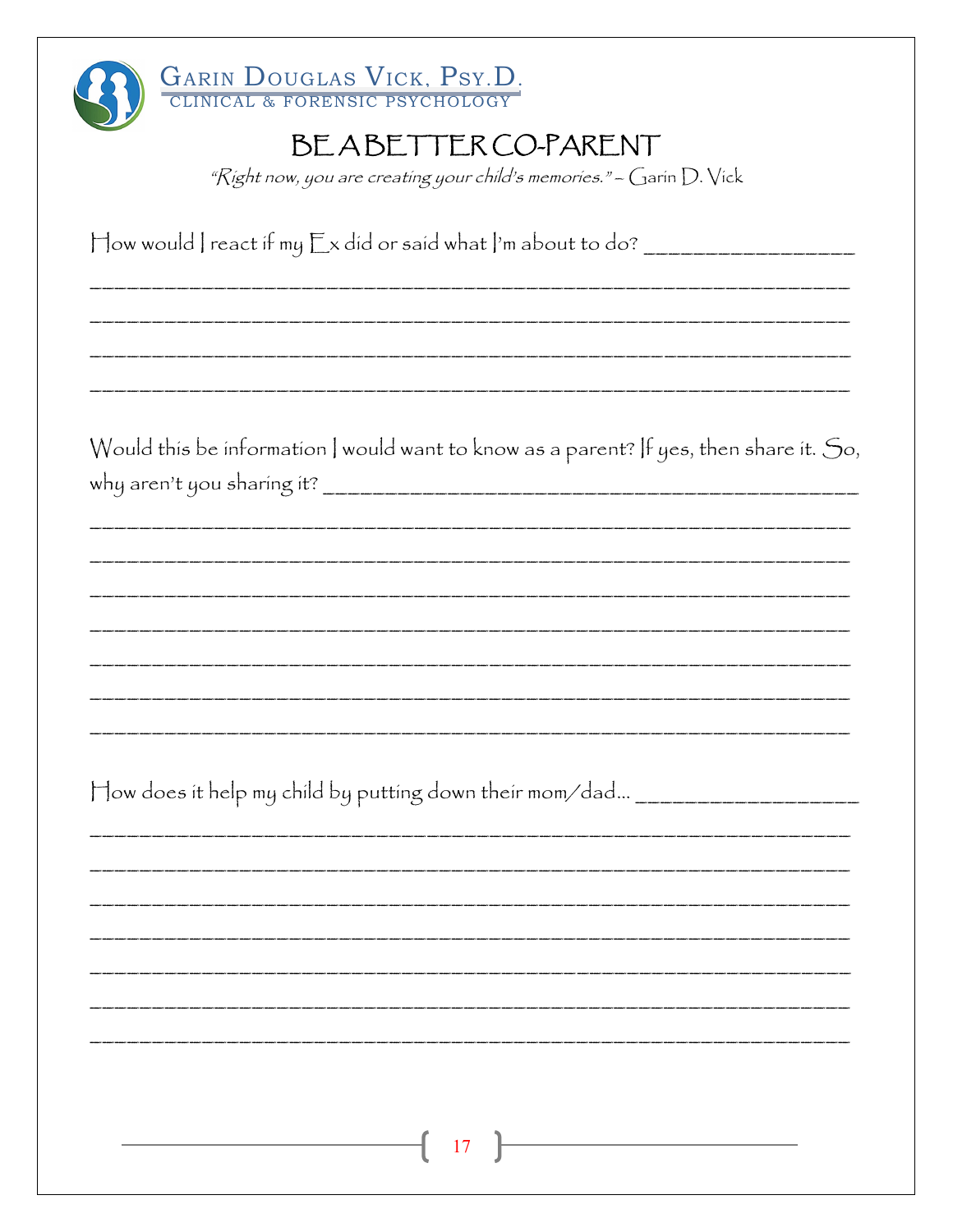| GARIN DOUGLAS VICK, PSY.D.<br>BEABETTER CO-PARENT<br>" $\mathcal{R}$ ight now, you are creating your child's memories." - Garin $D.$ Vick |
|-------------------------------------------------------------------------------------------------------------------------------------------|
|                                                                                                                                           |
| Would this be information   would want to know as a parent? If yes, then share it. So,                                                    |
| How does it help my child by putting down their mom/dad _____________________                                                             |
|                                                                                                                                           |
| <u> 1989 - Johann Barn, amerikansk politiker (</u><br>17                                                                                  |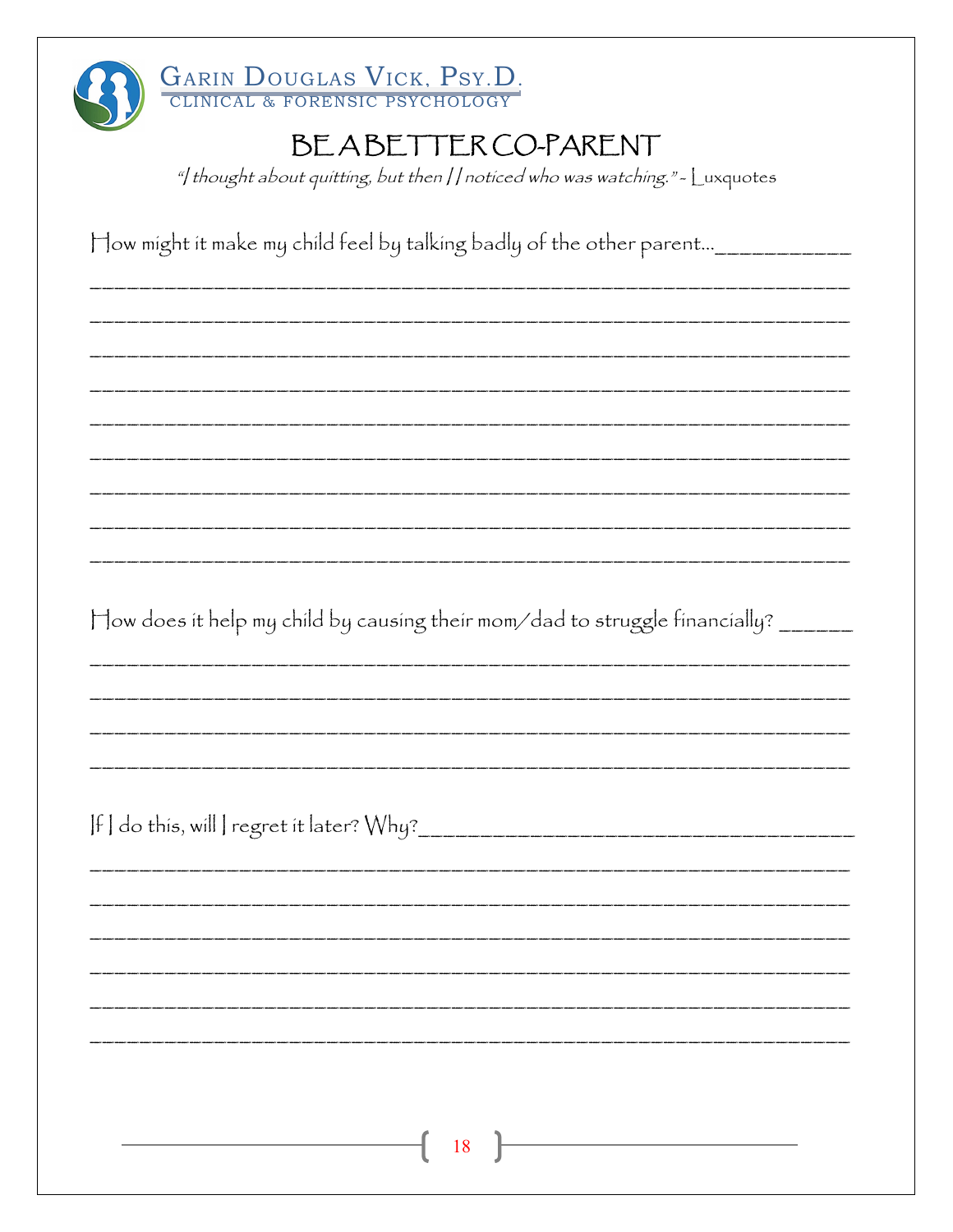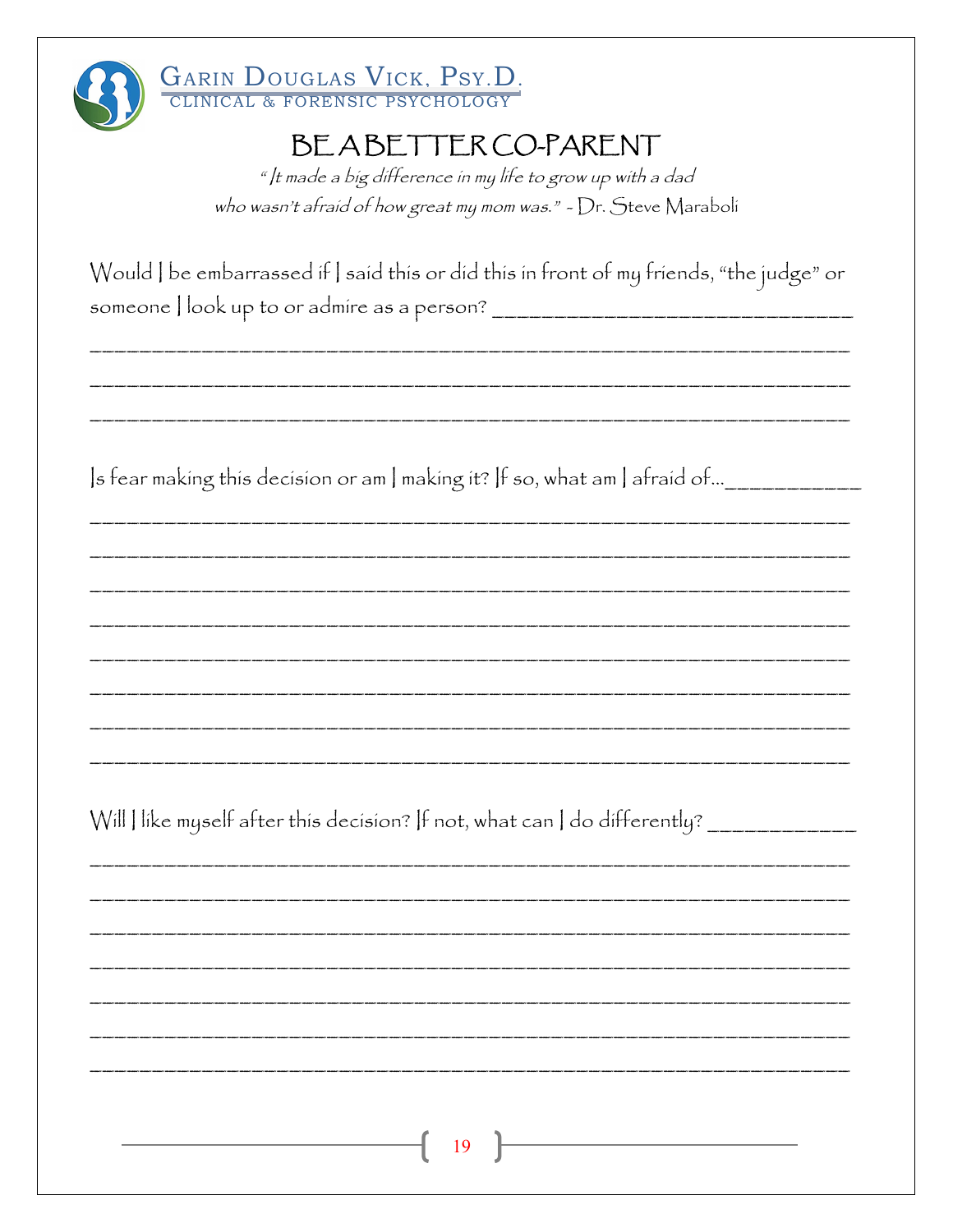

#### GARIN DOUGLAS VICK, PSY.D. CLINICAL & FORENSIC PSYCHOLOGY

## BEABETTERCO-PARENT

" It made a big difference in my life to grow up with a dad who wasn't afraid of how great my mom was." - Dr. Steve Maraboli

|                                           | Would   be embarrassed if   said this or did this in front of my friends, "the judge" or |  |
|-------------------------------------------|------------------------------------------------------------------------------------------|--|
| someone look up to or admire as a person? |                                                                                          |  |

Is fear making this decision or am I making it? If so, what am I afraid of... \_\_\_\_\_\_\_\_\_\_\_\_\_\_\_\_

Will | like myself after this decision? If not, what can | do differently? \_\_\_\_\_\_\_\_\_\_\_\_\_\_\_\_\_\_\_\_\_\_\_\_

19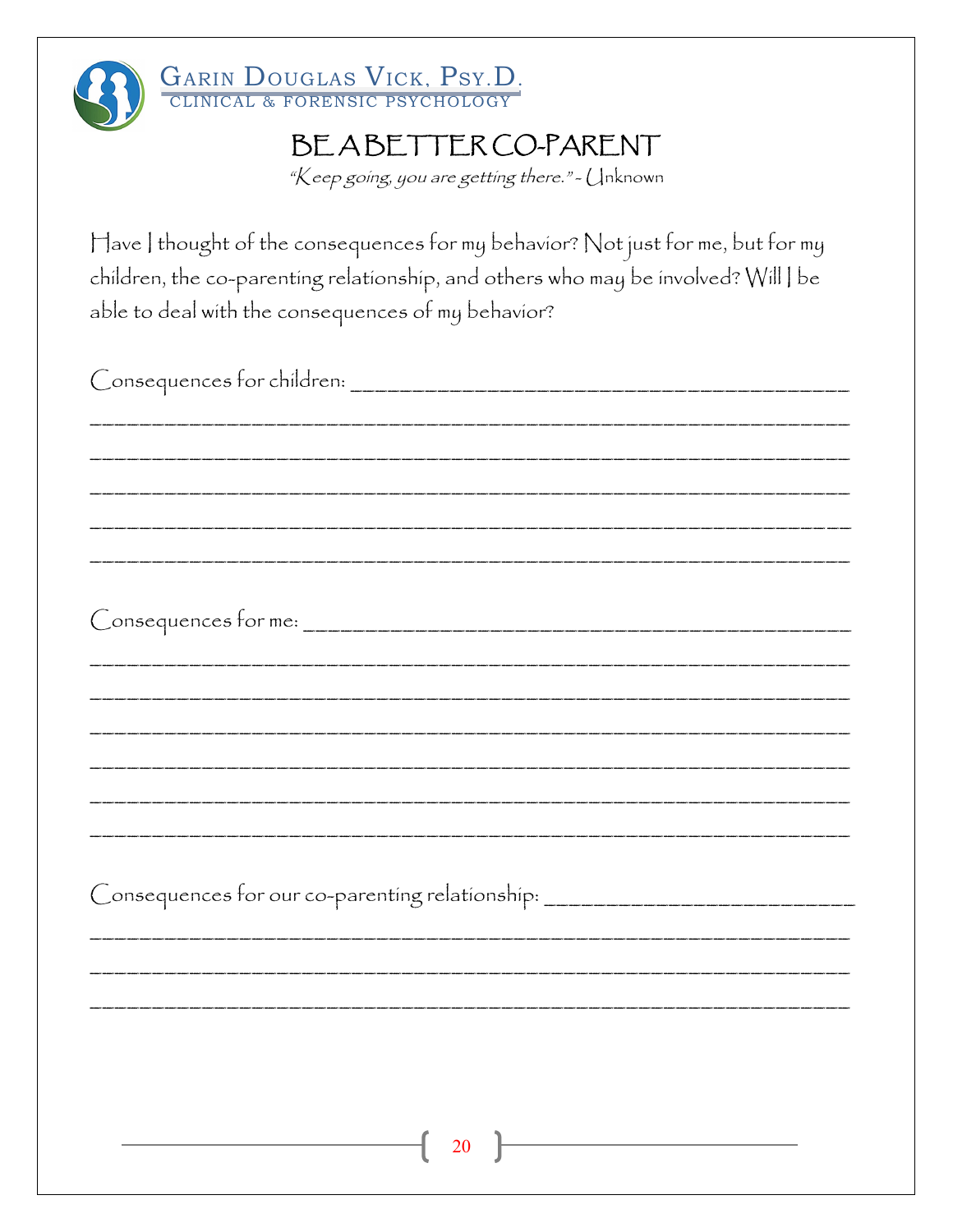

# GARIN DOUGLAS VICK, PSY.D.

## BEABETTER CO-PARENT

"Keep going, you are getting there." - Unknown

Have I thought of the consequences for my behavior? Not just for me, but for my children, the co-parenting relationship, and others who may be involved? Will | be able to deal with the consequences of my behavior?

| Consequences for children:                                                       |
|----------------------------------------------------------------------------------|
|                                                                                  |
|                                                                                  |
|                                                                                  |
|                                                                                  |
|                                                                                  |
| Consequences for me:                                                             |
|                                                                                  |
|                                                                                  |
|                                                                                  |
|                                                                                  |
|                                                                                  |
|                                                                                  |
| Consequences for our co-parenting relationship: ________________________________ |
|                                                                                  |
|                                                                                  |
|                                                                                  |
|                                                                                  |
|                                                                                  |
|                                                                                  |
| $\left( \begin{array}{c} 20 \end{array} \right)$                                 |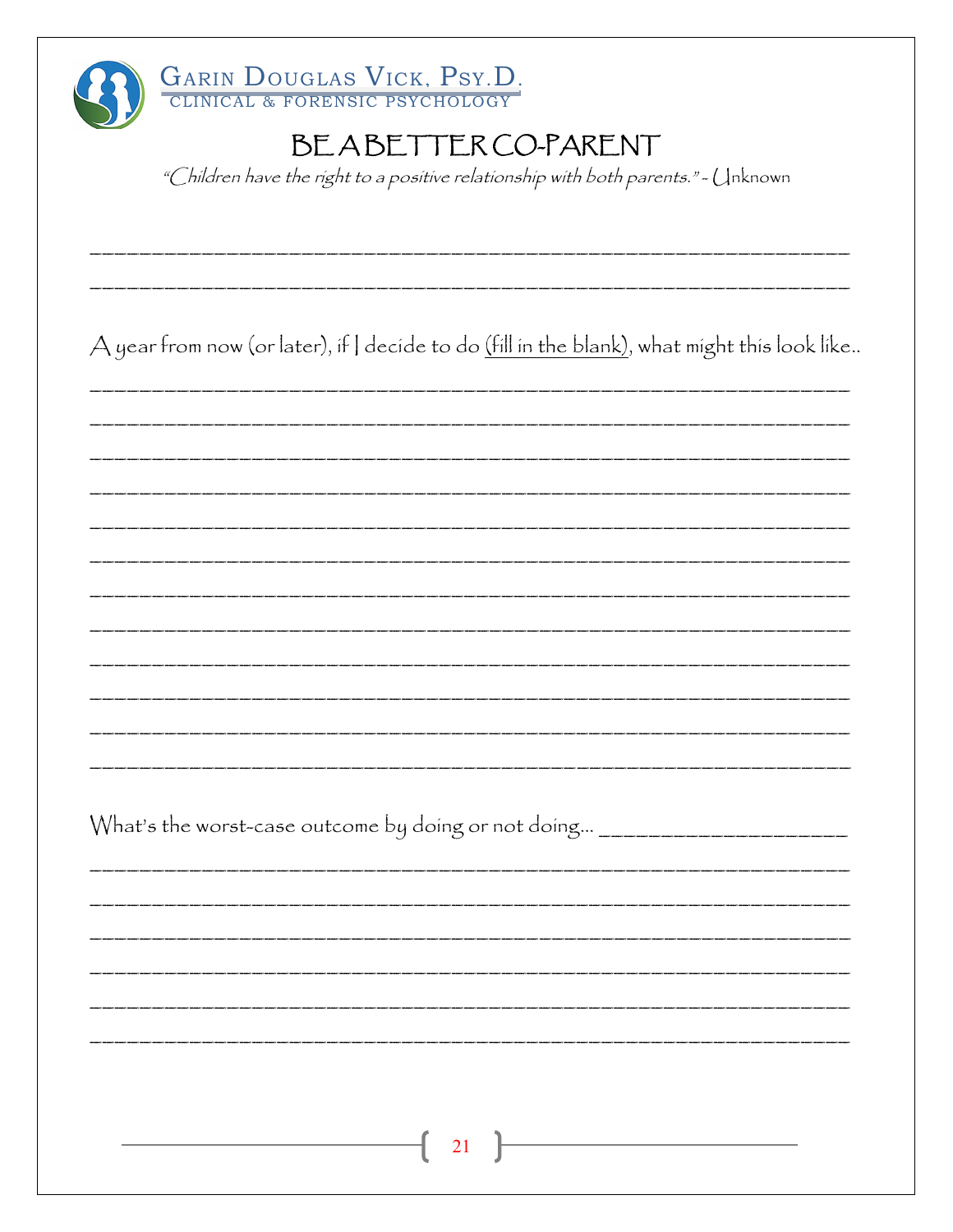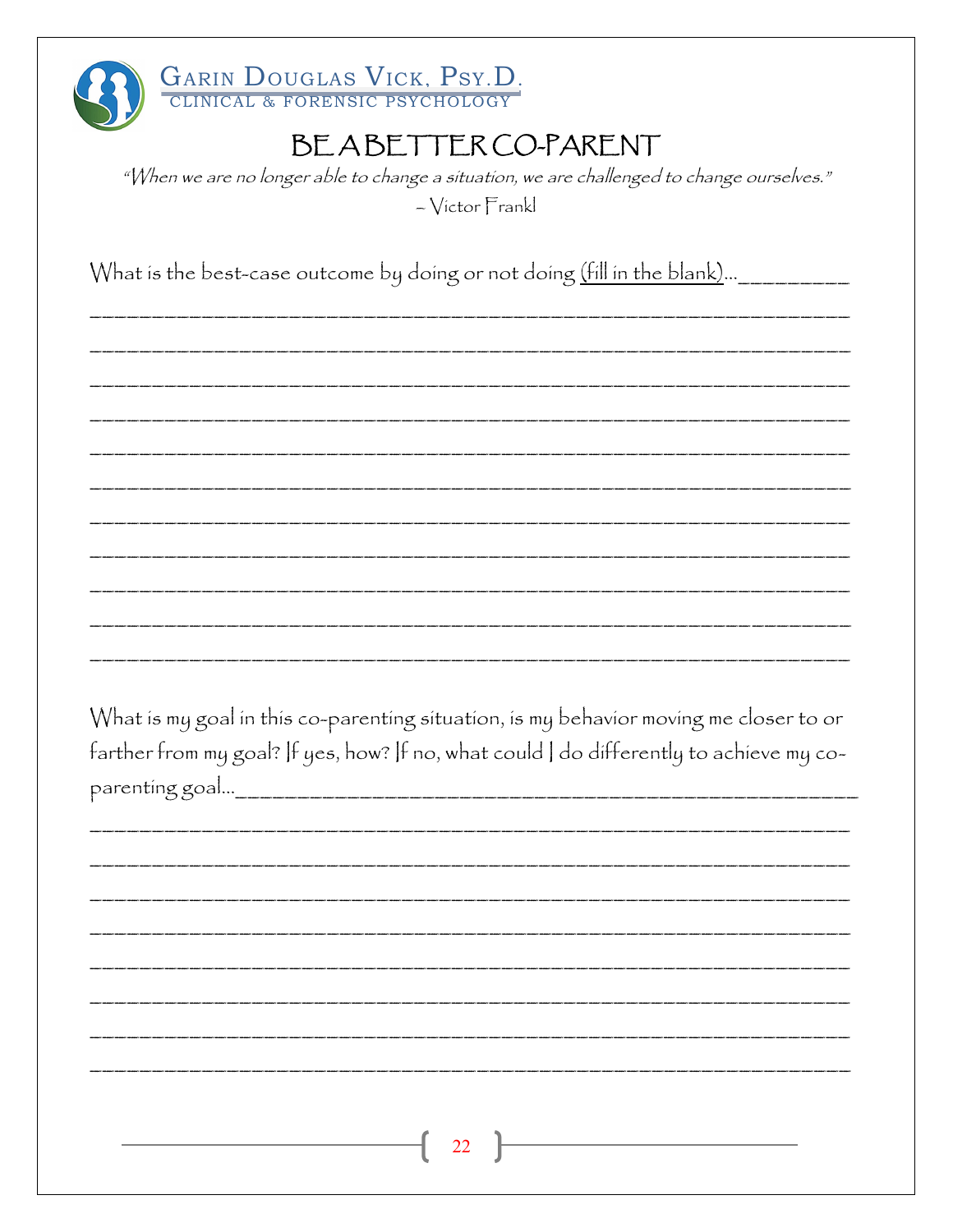

"When we are no longer able to change a situation, we are challenged to change ourselves." - Victor Frankl

What is the best-case outcome by doing or not doing (fill in the blank)... \_\_\_\_\_\_\_\_\_\_\_\_

What is my goal in this co-parenting situation, is my behavior moving me closer to or farther from my goal? If yes, how? If no, what could I do differently to achieve my co-

| $\begin{array}{ c c c c c }\hline & 22 & \hline & & & & \hline \end{array}$ |
|-----------------------------------------------------------------------------|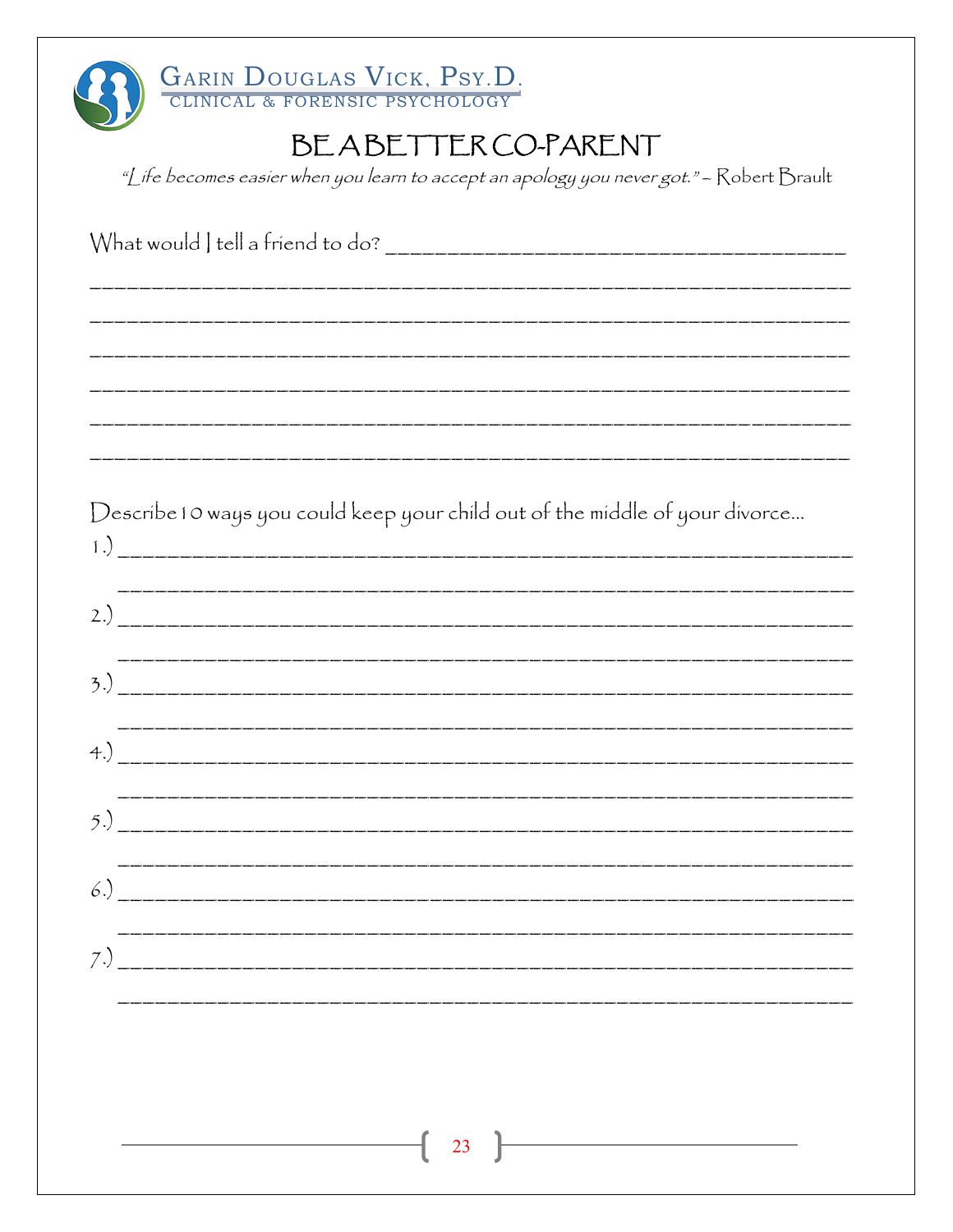| GARIN DOUGLAS VICK, PSY.D.                                                               |
|------------------------------------------------------------------------------------------|
| BEABETTER CO-PARENT                                                                      |
| "Life becomes easier when you learn to accept an apology you never got." - Robert Brault |
|                                                                                          |
|                                                                                          |
|                                                                                          |
|                                                                                          |
|                                                                                          |
| Describe 10 ways you could keep your child out of the middle of your divorce             |
|                                                                                          |
|                                                                                          |
|                                                                                          |
| 4)                                                                                       |
|                                                                                          |
|                                                                                          |
|                                                                                          |
|                                                                                          |
|                                                                                          |
|                                                                                          |
|                                                                                          |
| 23                                                                                       |
|                                                                                          |